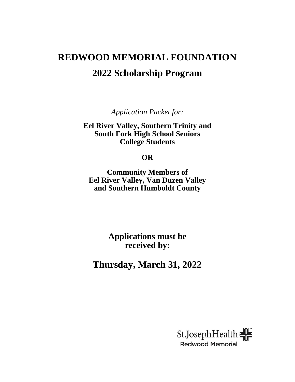# **REDWOOD MEMORIAL FOUNDATION 2022 Scholarship Program**

*Application Packet for:*

**Eel River Valley, Southern Trinity and South Fork High School Seniors College Students** 

### **OR**

**Community Members of Eel River Valley, Van Duzen Valley and Southern Humboldt County** 

> **Applications must be received by:**

**Thursday, March 31, 2022**

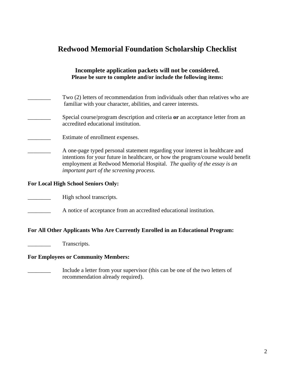# **Redwood Memorial Foundation Scholarship Checklist**

| Incomplete application packets will not be considered.<br>Please be sure to complete and/or include the following items:                                                                                                                                                                  |
|-------------------------------------------------------------------------------------------------------------------------------------------------------------------------------------------------------------------------------------------------------------------------------------------|
| Two (2) letters of recommendation from individuals other than relatives who are<br>familiar with your character, abilities, and career interests.                                                                                                                                         |
| Special course/program description and criteria or an acceptance letter from an<br>accredited educational institution.                                                                                                                                                                    |
| Estimate of enrollment expenses.                                                                                                                                                                                                                                                          |
| A one-page typed personal statement regarding your interest in healthcare and<br>intentions for your future in healthcare, or how the program/course would benefit<br>employment at Redwood Memorial Hospital. The quality of the essay is an<br>important part of the screening process. |
| <b>For Local High School Seniors Only:</b>                                                                                                                                                                                                                                                |
| High school transcripts.                                                                                                                                                                                                                                                                  |
| A notice of acceptance from an accredited educational institution.                                                                                                                                                                                                                        |
| For All Other Applicants Who Are Currently Enrolled in an Educational Program:                                                                                                                                                                                                            |
| Transcripts.                                                                                                                                                                                                                                                                              |
| <b>For Employees or Community Members:</b>                                                                                                                                                                                                                                                |
| Include a letter from your supervisor (this can be one of the two letters of<br>recommendation already required).                                                                                                                                                                         |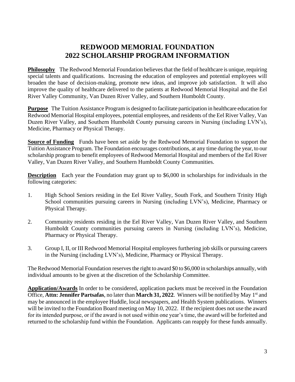## **REDWOOD MEMORIAL FOUNDATION 2022 SCHOLARSHIP PROGRAM INFORMATION**

**Philosophy** The Redwood Memorial Foundation believes that the field of healthcare is unique, requiring special talents and qualifications. Increasing the education of employees and potential employees will broaden the base of decision-making, promote new ideas, and improve job satisfaction. It will also improve the quality of healthcare delivered to the patients at Redwood Memorial Hospital and the Eel River Valley Community, Van Duzen River Valley, and Southern Humboldt County.

**Purpose** The Tuition Assistance Program is designed to facilitate participation in healthcare education for Redwood Memorial Hospital employees, potential employees, and residents of the Eel River Valley, Van Duzen River Valley, and Southern Humboldt County pursuing careers in Nursing (including LVN's), Medicine, Pharmacy or Physical Therapy.

**Source of Funding** Funds have been set aside by the Redwood Memorial Foundation to support the Tuition Assistance Program. The Foundation encourages contributions, at any time during the year, to our scholarship program to benefit employees of Redwood Memorial Hospital and members of the Eel River Valley, Van Duzen River Valley, and Southern Humboldt County Communities.

**Description** Each year the Foundation may grant up to \$6,000 in scholarships for individuals in the following categories:

- 1. High School Seniors residing in the Eel River Valley, South Fork, and Southern Trinity High School communities pursuing careers in Nursing (including LVN's), Medicine, Pharmacy or Physical Therapy.
- 2. Community residents residing in the Eel River Valley, Van Duzen River Valley, and Southern Humboldt County communities pursuing careers in Nursing (including LVN's), Medicine, Pharmacy or Physical Therapy.
- 3. Group I, II, or III Redwood Memorial Hospital employees furthering job skills or pursuing careers in the Nursing (including LVN's), Medicine, Pharmacy or Physical Therapy.

The Redwood Memorial Foundation reserves the right to award \$0 to \$6,000 in scholarships annually, with individual amounts to be given at the discretion of the Scholarship Committee.

**Application/Awards** In order to be considered, application packets must be received in the Foundation Office, Attn: Jennifer Partsafas, no later than March 31, 2022. Winners will be notified by May 1<sup>st</sup> and may be announced in the employee Huddle, local newspapers, and Health System publications. Winners will be invited to the Foundation Board meeting on May 10, 2022. If the recipient does not use the award for its intended purpose, or if the award is not used within one year's time, the award will be forfeited and returned to the scholarship fund within the Foundation. Applicants can reapply for these funds annually.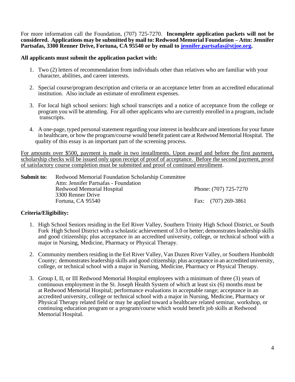For more information call the Foundation, (707) 725-7270. **Incomplete application packets will not be considered. Applications may be submitted by mail to: Redwood Memorial Foundation – Attn: Jennifer Partsafas, 3300 Renner Drive, Fortuna, CA 95540 or by email to [jennifer.partsafas@stjoe.org.](mailto:jennifer.partsafas@stjoe.org)**

#### **All applicants must submit the application packet with:**

- 1. Two (2) letters of recommendation from individuals other than relatives who are familiar with your character, abilities, and career interests.
- 2. Special course/program description and criteria or an acceptance letter from an accredited educational institution. Also include an estimate of enrollment expenses.
- 3. For local high school seniors: high school transcripts and a notice of acceptance from the college or program you will be attending. For all other applicants who are currently enrolled in a program, include transcripts.
- 4. A one-page, typed personal statement regarding your interest in healthcare and intentions for your future in healthcare, or how the program/course would benefit patient care at Redwood Memorial Hospital. The quality of this essay is an important part of the screening process.

For amounts over \$500, payment is made in two installments. Upon award and before the first payment, scholarship checks will be issued only upon receipt of proof of acceptance. Before the second payment, proof of satisfactory course completion must be submitted and proof of continued enrollment.

**Submit to:** Redwood Memorial Foundation Scholarship Committee Attn: Jennifer Partsafas - Foundation Redwood Memorial Hospital **Phone**: (707) 725-7270 3300 Renner Drive Fortuna, CA 95540 **Fax:** (707) 269-3861

#### **Criteria/Eligibility:**

- 1. High School Seniors residing in the Eel River Valley, Southern Trinity High School District, or South Fork High School District with a scholastic achievement of 3.0 or better; demonstrates leadership skills and good citizenship; plus acceptance in an accredited university, college, or technical school with a major in Nursing, Medicine, Pharmacy or Physical Therapy.
- 2. Community members residing in the Eel River Valley, Van Duzen River Valley, or Southern Humboldt County; demonstrates leadership skills and good citizenship; plus acceptance in an accredited university, college, or technical school with a major in Nursing, Medicine, Pharmacy or Physical Therapy.
- 3. Group I, II, or III Redwood Memorial Hospital employees with a minimum of three (3) years of continuous employment in the St. Joseph Health System of which at least six (6) months must be at Redwood Memorial Hospital; performance evaluations in acceptable range; acceptance in an accredited university, college or technical school with a major in Nursing, Medicine, Pharmacy or Physical Therapy related field or may be applied toward a healthcare related seminar, workshop, or continuing education program or a program/course which would benefit job skills at Redwood Memorial Hospital.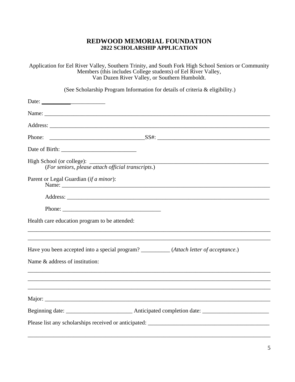#### **REDWOOD MEMORIAL FOUNDATION 2022 SCHOLARSHIP APPLICATION**

Application for Eel River Valley, Southern Trinity, and South Fork High School Seniors or Community Members (this includes College students) of Eel River Valley, Van Duzen River Valley, or Southern Humboldt.

(See Scholarship Program Information for details of criteria & eligibility.)

| Phone:                                                                                  |  |  |  |
|-----------------------------------------------------------------------------------------|--|--|--|
|                                                                                         |  |  |  |
| (For seniors, please attach official transcripts.)                                      |  |  |  |
| Parent or Legal Guardian (if a minor):                                                  |  |  |  |
|                                                                                         |  |  |  |
|                                                                                         |  |  |  |
| Health care education program to be attended:                                           |  |  |  |
| Have you been accepted into a special program? __________(Attach letter of acceptance.) |  |  |  |
| Name & address of institution:                                                          |  |  |  |
|                                                                                         |  |  |  |
|                                                                                         |  |  |  |
|                                                                                         |  |  |  |
|                                                                                         |  |  |  |
|                                                                                         |  |  |  |